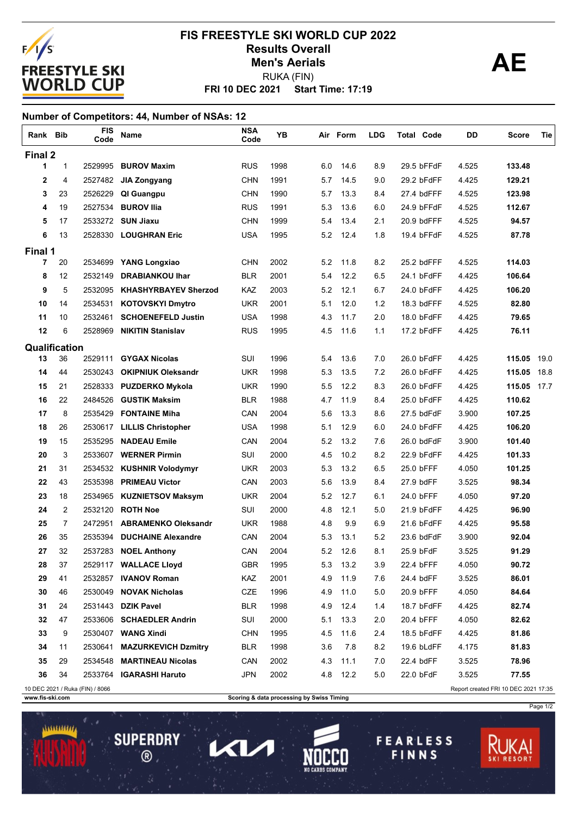

## **FRI 10 DEC 2021 Start Time: 17:19 FIS FREESTYLE SKI WORLD CUP 2022 Results Overall AE** RUKA (FIN) **Men's Aerials**

### **Number of Competitors: 44, Number of NSAs: 12**

| Rank Bib       |                                                                         | <b>FIS</b><br>Code | Name                        | <b>NSA</b><br>Code | YΒ   |     | Air Form | <b>LDG</b> | <b>Total Code</b> | DD    | Score       | Tie  |
|----------------|-------------------------------------------------------------------------|--------------------|-----------------------------|--------------------|------|-----|----------|------------|-------------------|-------|-------------|------|
| Final 2        |                                                                         |                    |                             |                    |      |     |          |            |                   |       |             |      |
| 1              | $\mathbf{1}$                                                            | 2529995            | <b>BUROV Maxim</b>          | <b>RUS</b>         | 1998 | 6.0 | 14.6     | 8.9        | 29.5 bFFdF        | 4.525 | 133.48      |      |
| $\mathbf{2}$   | 4                                                                       | 2527482            | JIA Zongyang                | <b>CHN</b>         | 1991 | 5.7 | 14.5     | 9.0        | 29.2 bFdFF        | 4.425 | 129.21      |      |
| 3              | 23                                                                      | 2526229            | QI Guangpu                  | <b>CHN</b>         | 1990 | 5.7 | 13.3     | 8.4        | 27.4 bdFFF        | 4.525 | 123.98      |      |
| 4              | 19                                                                      | 2527534            | <b>BUROV IIIa</b>           | <b>RUS</b>         | 1991 | 5.3 | 13.6     | 6.0        | 24.9 bFFdF        | 4.525 | 112.67      |      |
| 5              | 17                                                                      |                    | 2533272 SUN Jiaxu           | <b>CHN</b>         | 1999 | 5.4 | 13.4     | 2.1        | 20.9 bdFFF        | 4.525 | 94.57       |      |
| 6              | 13                                                                      |                    | 2528330 LOUGHRAN Eric       | <b>USA</b>         | 1995 | 5.2 | 12.4     | 1.8        | 19.4 bFFdF        | 4.525 | 87.78       |      |
| Final 1        |                                                                         |                    |                             |                    |      |     |          |            |                   |       |             |      |
| $\overline{7}$ | 20                                                                      | 2534699            | <b>YANG Longxiao</b>        | <b>CHN</b>         | 2002 | 5.2 | 11.8     | 8.2        | 25.2 bdFFF        | 4.525 | 114.03      |      |
| 8              | 12                                                                      | 2532149            | <b>DRABIANKOU Ihar</b>      | <b>BLR</b>         | 2001 | 5.4 | 12.2     | 6.5        | 24.1 bFdFF        | 4.425 | 106.64      |      |
| 9              | 5                                                                       | 2532095            | <b>KHASHYRBAYEV Sherzod</b> | KAZ                | 2003 | 5.2 | 12.1     | 6.7        | 24.0 bFdFF        | 4.425 | 106.20      |      |
| 10             | 14                                                                      | 2534531            | <b>KOTOVSKYI Dmytro</b>     | <b>UKR</b>         | 2001 | 5.1 | 12.0     | 1.2        | 18.3 bdFFF        | 4.525 | 82.80       |      |
| 11             | 10                                                                      | 2532461            | <b>SCHOENEFELD Justin</b>   | <b>USA</b>         | 1998 | 4.3 | 11.7     | 2.0        | 18.0 bFdFF        | 4.425 | 79.65       |      |
| 12             | 6                                                                       | 2528969            | <b>NIKITIN Stanislav</b>    | <b>RUS</b>         | 1995 | 4.5 | 11.6     | 1.1        | 17.2 bFdFF        | 4.425 | 76.11       |      |
| Qualification  |                                                                         |                    |                             |                    |      |     |          |            |                   |       |             |      |
| 13             | 36                                                                      | 2529111            | <b>GYGAX Nicolas</b>        | SUI                | 1996 | 5.4 | 13.6     | 7.0        | 26.0 bFdFF        | 4.425 | 115.05      | 19.0 |
| 14             | 44                                                                      | 2530243            | <b>OKIPNIUK Oleksandr</b>   | <b>UKR</b>         | 1998 | 5.3 | 13.5     | 7.2        | 26.0 bFdFF        | 4.425 | 115.05      | 18.8 |
| 15             | 21                                                                      | 2528333            | <b>PUZDERKO Mykola</b>      | UKR                | 1990 | 5.5 | 12.2     | 8.3        | 26.0 bFdFF        | 4.425 | 115.05 17.7 |      |
| 16             | 22                                                                      | 2484526            | <b>GUSTIK Maksim</b>        | <b>BLR</b>         | 1988 | 4.7 | 11.9     | 8.4        | 25.0 bFdFF        | 4.425 | 110.62      |      |
| 17             | 8                                                                       | 2535429            | <b>FONTAINE Miha</b>        | CAN                | 2004 | 5.6 | 13.3     | 8.6        | 27.5 bdFdF        | 3.900 | 107.25      |      |
| 18             | 26                                                                      | 2530617            | <b>LILLIS Christopher</b>   | <b>USA</b>         | 1998 | 5.1 | 12.9     | 6.0        | 24.0 bFdFF        | 4.425 | 106.20      |      |
| 19             | 15                                                                      | 2535295            | <b>NADEAU Emile</b>         | CAN                | 2004 | 5.2 | 13.2     | 7.6        | 26.0 bdFdF        | 3.900 | 101.40      |      |
| 20             | 3                                                                       | 2533607            | <b>WERNER Pirmin</b>        | SUI                | 2000 | 4.5 | 10.2     | 8.2        | 22.9 bFdFF        | 4.425 | 101.33      |      |
| 21             | 31                                                                      | 2534532            | <b>KUSHNIR Volodymyr</b>    | UKR                | 2003 | 5.3 | 13.2     | 6.5        | 25.0 bFFF         | 4.050 | 101.25      |      |
| 22             | 43                                                                      | 2535398            | <b>PRIMEAU Victor</b>       | CAN                | 2003 | 5.6 | 13.9     | 8.4        | 27.9 bdFF         | 3.525 | 98.34       |      |
| 23             | 18                                                                      | 2534965            | <b>KUZNIETSOV Maksym</b>    | <b>UKR</b>         | 2004 | 5.2 | 12.7     | 6.1        | 24.0 bFFF         | 4.050 | 97.20       |      |
| 24             | 2                                                                       | 2532120            | <b>ROTH Noe</b>             | SUI                | 2000 | 4.8 | 12.1     | 5.0        | 21.9 bFdFF        | 4.425 | 96.90       |      |
| 25             | 7                                                                       | 2472951            | <b>ABRAMENKO Oleksandr</b>  | UKR                | 1988 | 4.8 | 9.9      | 6.9        | 21.6 bFdFF        | 4.425 | 95.58       |      |
| 26             | 35                                                                      | 2535394            | <b>DUCHAINE Alexandre</b>   | CAN                | 2004 | 5.3 | 13.1     | 5.2        | 23.6 bdFdF        | 3.900 | 92.04       |      |
| 27             | 32                                                                      | 2537283            | <b>NOEL Anthony</b>         | CAN                | 2004 | 5.2 | 12.6     | 8.1        | 25.9 bFdF         | 3.525 | 91.29       |      |
| 28             | 37                                                                      |                    | 2529117 WALLACE Lloyd       | <b>GBR</b>         | 1995 | 5.3 | 13.2     | 3.9        | 22.4 bFFF         | 4.050 | 90.72       |      |
| 29             | 41                                                                      |                    | 2532857 IVANOV Roman        | KAZ                | 2001 | 4.9 | 11.9     | 7.6        | 24.4 bdFF         | 3.525 | 86.01       |      |
| 30             | 46                                                                      |                    | 2530049 NOVAK Nicholas      | <b>CZE</b>         | 1996 | 4.9 | 11.0     | 5.0        | 20.9 bFFF         | 4.050 | 84.64       |      |
| 31             | 24                                                                      |                    | 2531443 DZIK Pavel          | <b>BLR</b>         | 1998 | 4.9 | 12.4     | 1.4        | 18.7 bFdFF        | 4.425 | 82.74       |      |
| 32             | 47                                                                      |                    | 2533606 SCHAEDLER Andrin    | SUI                | 2000 | 5.1 | 13.3     | 2.0        | 20.4 bFFF         | 4.050 | 82.62       |      |
| 33             | 9                                                                       |                    | 2530407 WANG Xindi          | <b>CHN</b>         | 1995 | 4.5 | 11.6     | 2.4        | 18.5 bFdFF        | 4.425 | 81.86       |      |
| 34             | 11                                                                      | 2530641            | <b>MAZURKEVICH Dzmitry</b>  | <b>BLR</b>         | 1998 | 3.6 | 7.8      | 8.2        | 19.6 bLdFF        | 4.175 | 81.83       |      |
| 35             | 29                                                                      |                    | 2534548 MARTINEAU Nicolas   | CAN                | 2002 | 4.3 | 11.1     | 7.0        | 22.4 bdFF         | 3.525 | 78.96       |      |
| 36             | 34                                                                      |                    | 2533764 IGARASHI Haruto     | <b>JPN</b>         | 2002 | 4.8 | 12.2     | 5.0        | 22.0 bFdF         | 3.525 | 77.55       |      |
|                | 10 DEC 2021 / Ruka (FIN) / 8066<br>Report created FRI 10 DEC 2021 17:35 |                    |                             |                    |      |     |          |            |                   |       |             |      |

**SUPERDRY** 

 $\circledR$ 

 $\mathsf{L}$ 

 $\mathbf{Z}$ 

**www.fis-ski.com Scoring & data processing by Swiss Timing** 



Page 1/2